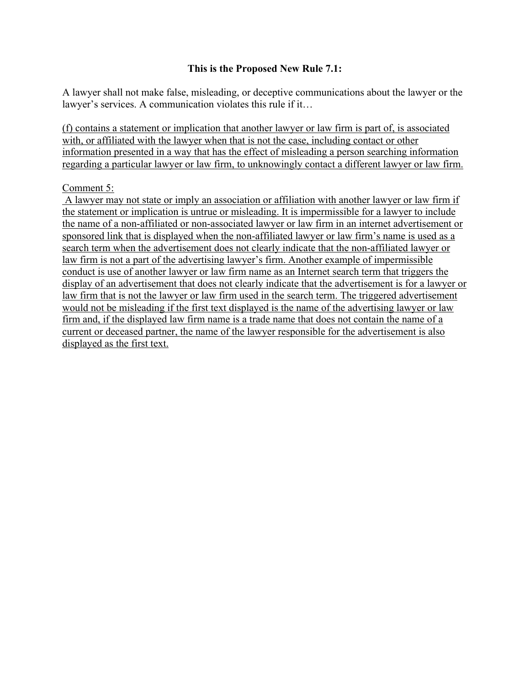## **This is the Proposed New Rule 7.1:**

A lawyer shall not make false, misleading, or deceptive communications about the lawyer or the lawyer's services. A communication violates this rule if it…

(f) contains a statement or implication that another lawyer or law firm is part of, is associated with, or affiliated with the lawyer when that is not the case, including contact or other information presented in a way that has the effect of misleading a person searching information regarding a particular lawyer or law firm, to unknowingly contact a different lawyer or law firm.

## Comment 5:

A lawyer may not state or imply an association or affiliation with another lawyer or law firm if the statement or implication is untrue or misleading. It is impermissible for a lawyer to include the name of a non-affiliated or non-associated lawyer or law firm in an internet advertisement or sponsored link that is displayed when the non-affiliated lawyer or law firm's name is used as a search term when the advertisement does not clearly indicate that the non-affiliated lawyer or law firm is not a part of the advertising lawyer's firm. Another example of impermissible conduct is use of another lawyer or law firm name as an Internet search term that triggers the display of an advertisement that does not clearly indicate that the advertisement is for a lawyer or law firm that is not the lawyer or law firm used in the search term. The triggered advertisement would not be misleading if the first text displayed is the name of the advertising lawyer or law firm and, if the displayed law firm name is a trade name that does not contain the name of a current or deceased partner, the name of the lawyer responsible for the advertisement is also displayed as the first text.